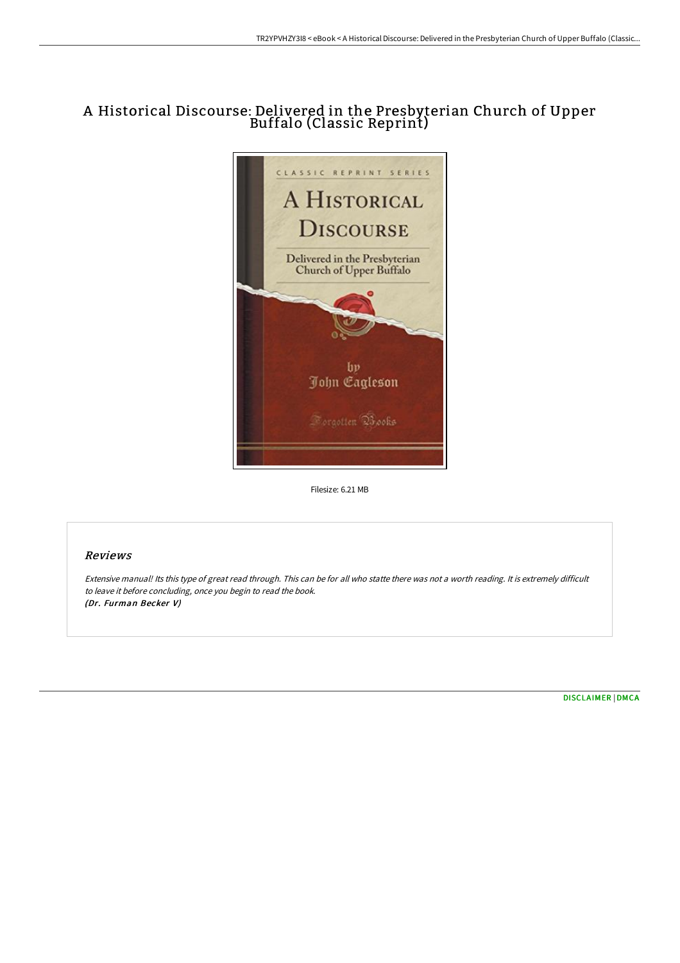# A Historical Discourse: Delivered in the Presbyterian Church of Upper Buffalo (Classic Reprint)



Filesize: 6.21 MB

## Reviews

Extensive manual! Its this type of great read through. This can be for all who statte there was not <sup>a</sup> worth reading. It is extremely difficult to leave it before concluding, once you begin to read the book. (Dr. Furman Becker V)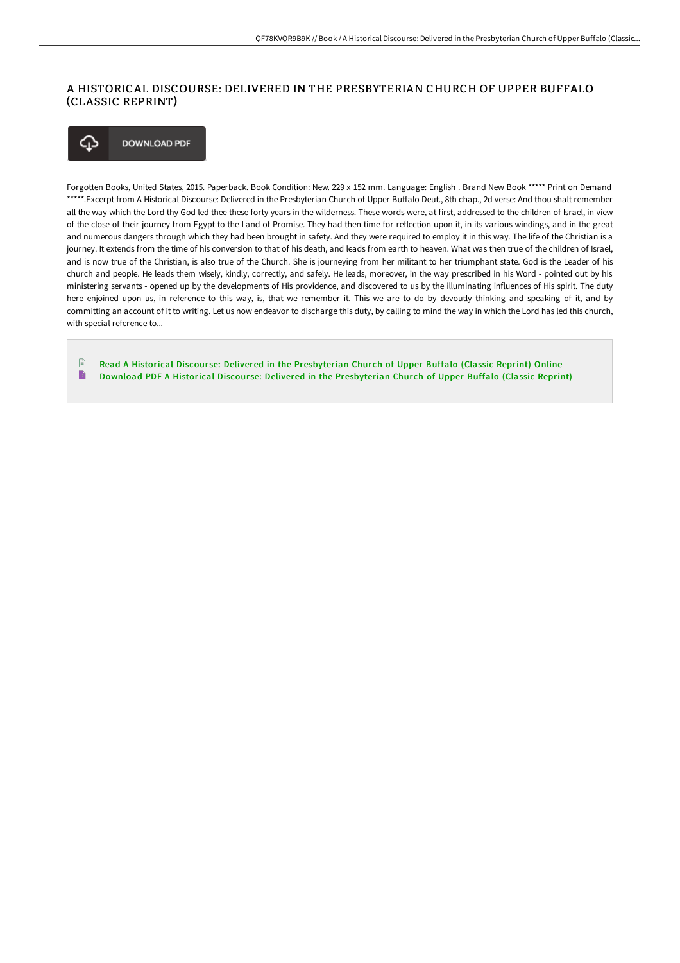## A HISTORICAL DISCOURSE: DELIVERED IN THE PRESBYTERIAN CHURCH OF UPPER BUFFALO (CLASSIC REPRINT)

**DOWNLOAD PDF** ঞ

Forgotten Books, United States, 2015. Paperback. Book Condition: New. 229 x 152 mm. Language: English . Brand New Book \*\*\*\*\* Print on Demand \*\*\*\*\*.Excerpt from A Historical Discourse: Delivered in the Presbyterian Church of Upper Buffalo Deut., 8th chap., 2d verse: And thou shalt remember all the way which the Lord thy God led thee these forty years in the wilderness. These words were, at first, addressed to the children of Israel, in view of the close of their journey from Egypt to the Land of Promise. They had then time for reflection upon it, in its various windings, and in the great and numerous dangers through which they had been brought in safety. And they were required to employ it in this way. The life of the Christian is a journey. It extends from the time of his conversion to that of his death, and leads from earth to heaven. What was then true of the children of Israel, and is now true of the Christian, is also true of the Church. She is journeying from her militant to her triumphant state. God is the Leader of his church and people. He leads them wisely, kindly, correctly, and safely. He leads, moreover, in the way prescribed in his Word - pointed out by his ministering servants - opened up by the developments of His providence, and discovered to us by the illuminating influences of His spirit. The duty here enjoined upon us, in reference to this way, is, that we remember it. This we are to do by devoutly thinking and speaking of it, and by committing an account of it to writing. Let us now endeavor to discharge this duty, by calling to mind the way in which the Lord has led this church, with special reference to...

 $\Box$ Read A Historical Discourse: Delivered in the [Presbyterian](http://techno-pub.tech/a-historical-discourse-delivered-in-the-presbyte.html) Church of Upper Buffalo (Classic Reprint) Online B Download PDF A Historical Discourse: Delivered in the [Presbyterian](http://techno-pub.tech/a-historical-discourse-delivered-in-the-presbyte.html) Church of Upper Buffalo (Classic Reprint)